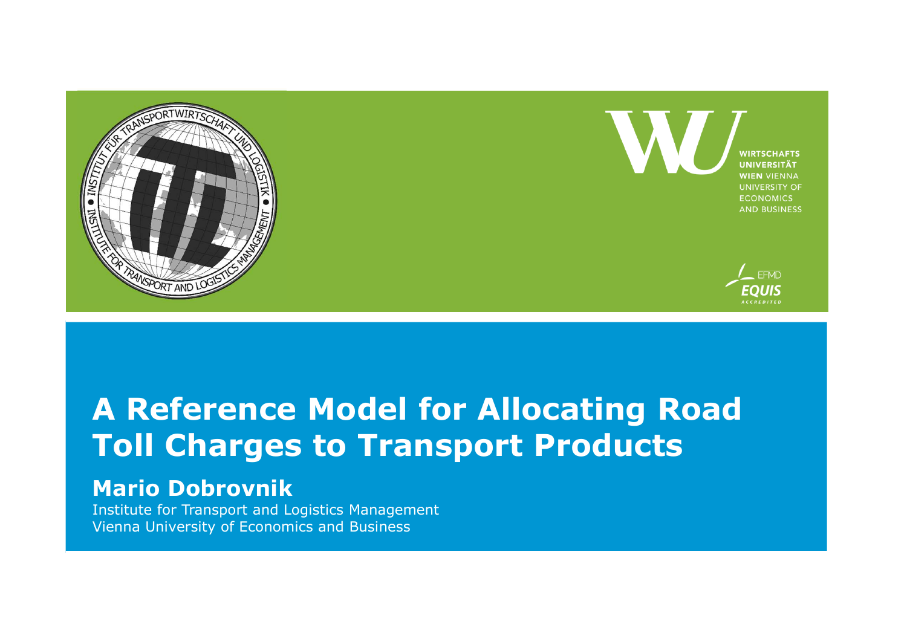

# **A Reference Model for Allocating Road Toll Charges to Transport Products**

### **Mario Dobrovnik**

Institute for Transport and Logistics ManagementVienna University of Economics and Business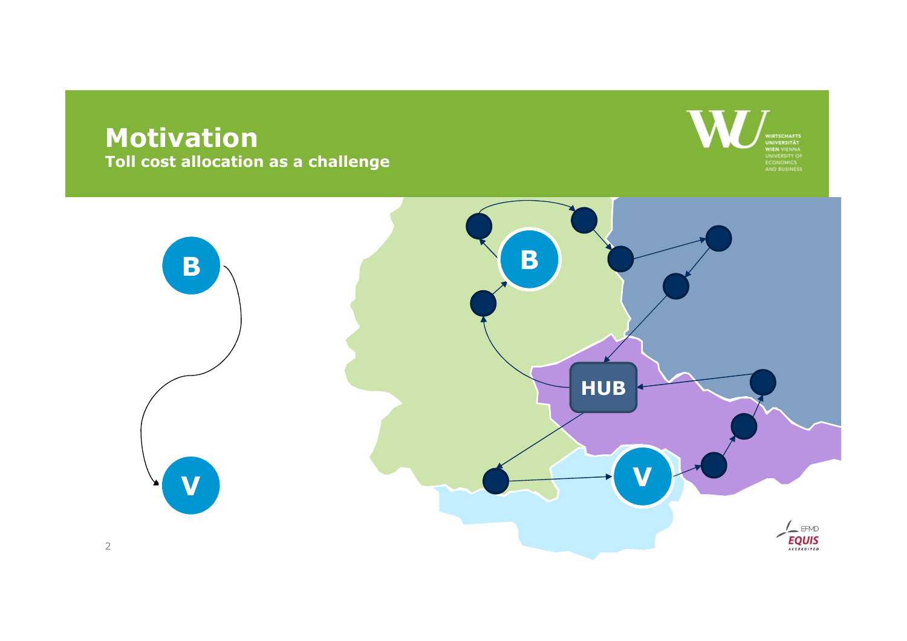### **MotivationToll cost allocation as a challenge**





2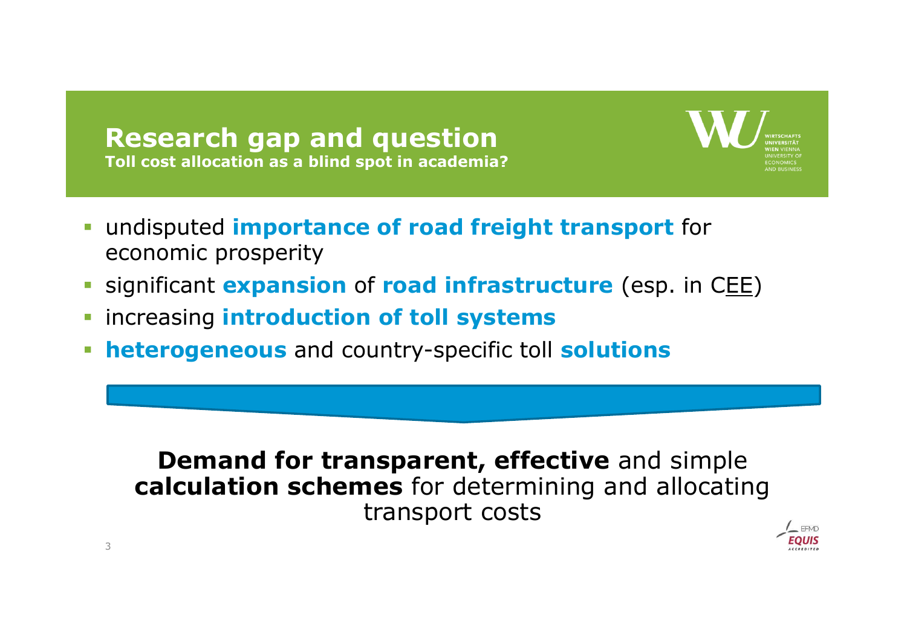**Research gap and questionToll cost allocation as a blind spot in academia?**



- significant **expansion** of **road infrastructure** (esp. in CEE)
- **Example 2 increasing introduction of toll systems**
- **heterogeneous** and country-specific toll **solutions**

**Demand for transparent, effective** and simple **calculation schemes** for determining and allocating transport costs

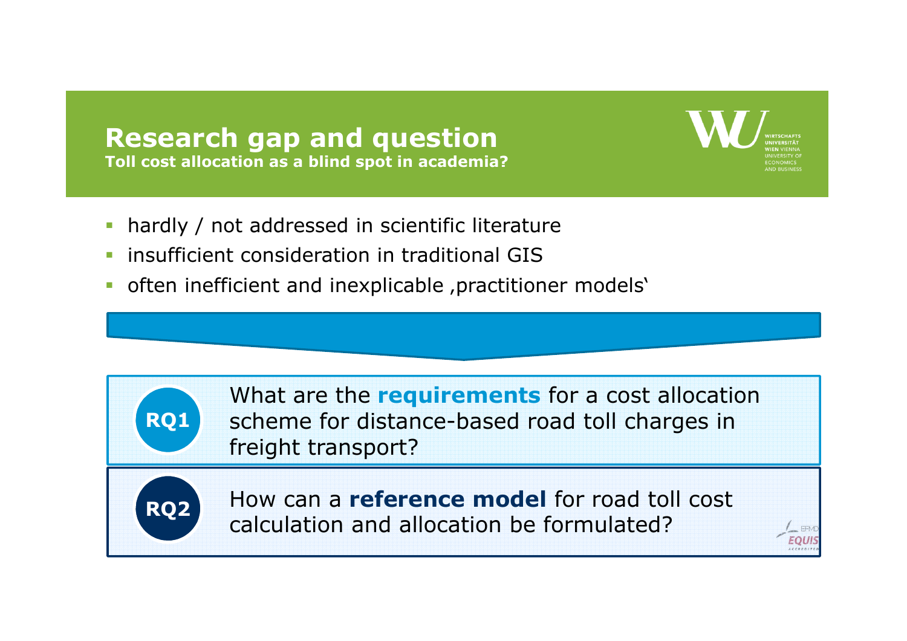**Research gap and questionToll cost allocation as a blind spot in academia?**



- insufficient consideration in traditional GIS
- often inefficient and inexplicable , practitioner models'

What are the **requirements** for a cost allocation scheme for distance-based road toll charges in freight transport?

**RQ1**

How can a **reference model** for road toll cost calculation and allocation be formulated?**RQ2** calculation and allocation be formulated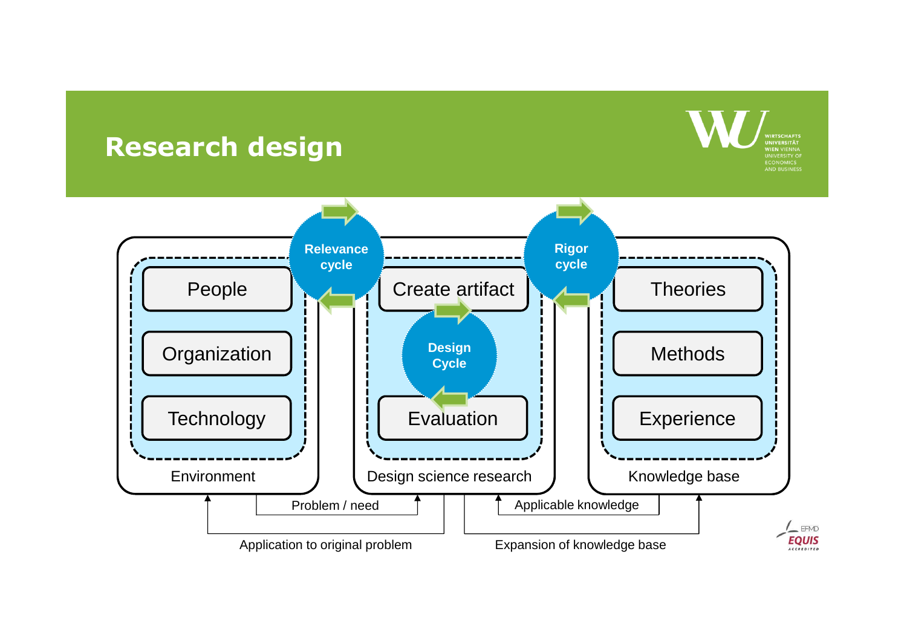## **Research design**



**UNIVERSITÄT<br>
WIEN VIENNA<br>
UNIVERSITY OF<br>
ECONOMICS<br>
AND BUSINESS**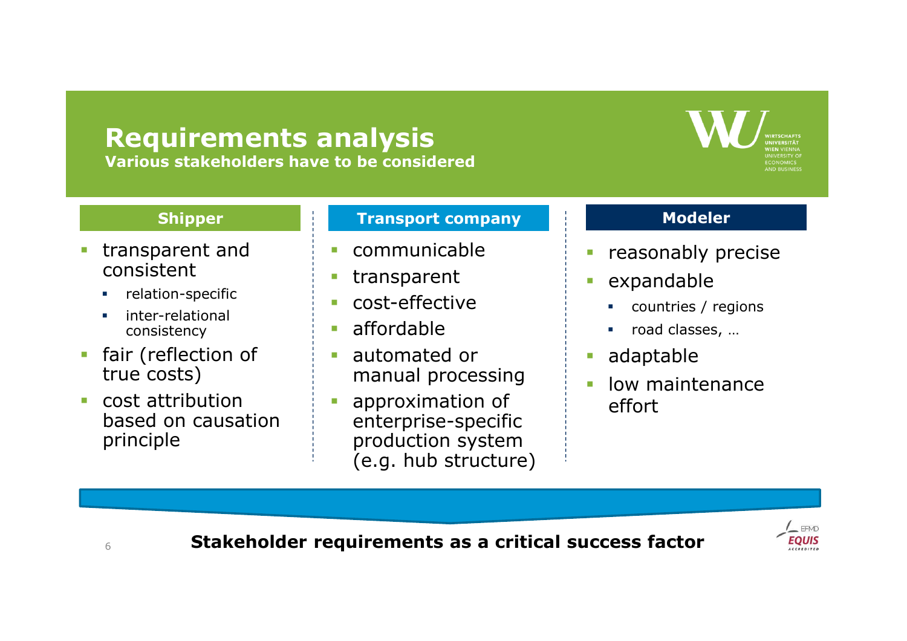### **Requirements analysisVarious stakeholders have to be considered**



#### **Shipper**

- transparent and consistent
	- г relation-specific
	- $\mathbf{r}$  inter-relational consistency
- $\mathcal{L}_{\mathcal{A}}$  fair (reflection of true costs)
- **cost attribution** based on causation principle

#### **Transport company**

- $\mathcal{C}$ communicable
- $\mathcal{L}_{\mathcal{A}}$ transparent
- $\mathcal{C}^{\mathcal{A}}$ cost-effective
- $\overline{\phantom{a}}$ affordable
- automated or  $\mathbf{r}$ manual processing
- $\mathcal{C}^{\mathcal{A}}$  approximation of enterprise-specific production system (e.g. hub structure)

#### **Modeler**

- п reasonably precise
- ×, expandable
	- countries / regions $\blacksquare$
	- $\mathcal{L}_{\mathcal{A}}$ road classes, …
- ÷, adaptable
- $\blacksquare$  low maintenance effort



**Stakeholder requirements as a critical success factor**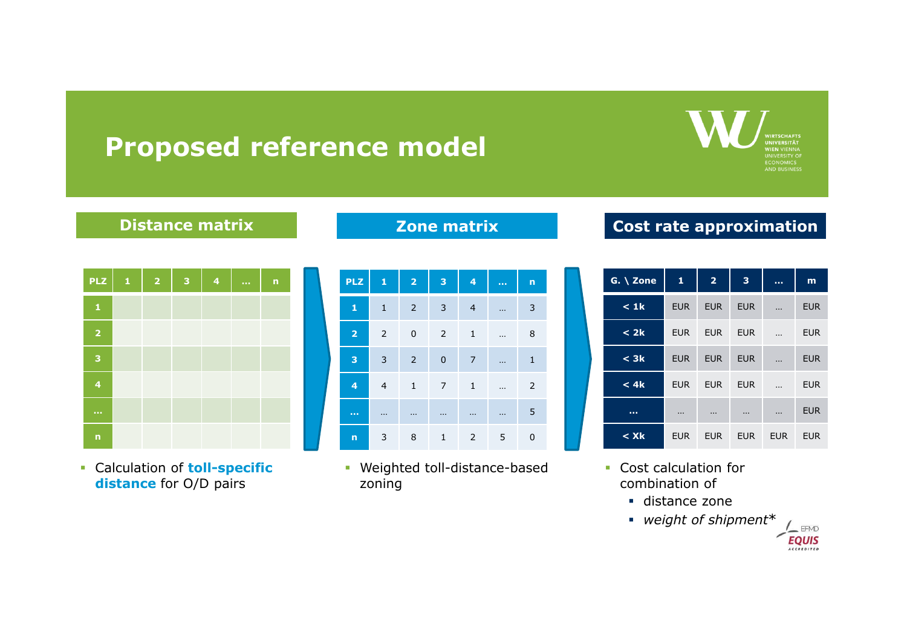## **Proposed reference model**



#### **Distance matrix**

| <b>PLZ</b>              | LI | $\overline{\mathbf{2}}$ | 3 | $\overline{\mathbf{4}}$ | $\sim 100$ | $\mathbf n$ |
|-------------------------|----|-------------------------|---|-------------------------|------------|-------------|
| $\mathbf{1}$            |    |                         |   |                         |            |             |
| $\overline{\mathbf{2}}$ |    |                         |   |                         |            |             |
| 3                       |    |                         |   |                         |            |             |
| $\overline{\mathbf{4}}$ |    |                         |   |                         |            |             |
| 111                     |    |                         |   |                         |            |             |
| $\mathbf n$             |    |                         |   |                         |            |             |

 Calculation of **toll-specific distance** for O/D pairs

#### **Zone matrix**

| <b>PLZ</b>            | 1              | $\overline{\mathbf{2}}$ | 3            | 4              | <b>SALE</b> | $\mathbf n$  |
|-----------------------|----------------|-------------------------|--------------|----------------|-------------|--------------|
| 1                     | $\mathbf{1}$   | $\overline{2}$          | 3            | $\overline{4}$ |             | 3            |
| $\overline{2}$        | 2              | $\mathbf 0$             | 2            | $\mathbf{1}$   | $\cdots$    | 8            |
| 3                     | $\mathbf{3}$   | $\overline{2}$          | $\mathbf{0}$ | $\overline{7}$ |             | $\mathbf{1}$ |
| 4                     | $\overline{4}$ | $\mathbf{1}$            | 7            | $\mathbf{1}$   | $\cdots$    | 2            |
| $\alpha$ and $\alpha$ | $\cdots$       | $\cdots$                | $\cdots$     | $\cdots$       |             | 5            |
| $\mathbf n$           | 3              | 8                       | 1            | $2^{\circ}$    | 5           | 0            |

 Weighted toll-distance-based zoning

#### **Cost rate approximation**

| $G. \setminus$ Zone | $\mathbf{1}$ | $\overline{\mathbf{2}}$ | 3          | <b></b>    | $\mathbf{m}$ |
|---------------------|--------------|-------------------------|------------|------------|--------------|
| < 1k                | <b>EUR</b>   | <b>EUR</b>              | <b>EUR</b> | $\ddotsc$  | <b>EUR</b>   |
| < 2k                | <b>EUR</b>   | <b>EUR</b>              | <b>EUR</b> | $\cdots$   | <b>EUR</b>   |
| $<$ 3 $k$           | <b>EUR</b>   | <b>EUR</b>              | <b>EUR</b> | $\ddotsc$  | <b>EUR</b>   |
| < 4k                | <b>EUR</b>   | <b>EUR</b>              | <b>EUR</b> | $\ddotsc$  | <b>EUR</b>   |
|                     | $\cdots$     | $\cdots$                | $\cdots$   | $\ddotsc$  | <b>EUR</b>   |
| $<$ Xk              | <b>EUR</b>   | <b>EUR</b>              | <b>EUR</b> | <b>EUR</b> | <b>EUR</b>   |

- **Cost calculation for** combination of
	- distance zone
	- *weight of shipment* \*

 $\sqrt{\frac{1}{2}}$  EFMD **EQUIS** ACCREDITED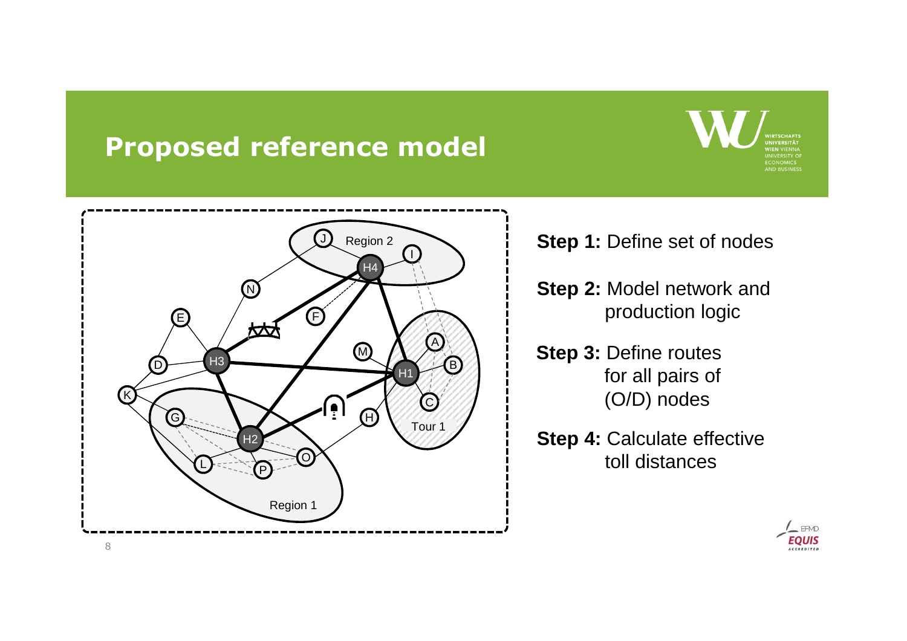## **Proposed reference model**





**Step 1: Define set of nodes** 

**Step 2:** Model network and production logic

- **Step 3: Define routes**  for all pairs of (O/D) nodes
- **Step 4: Calculate effective** toll distances